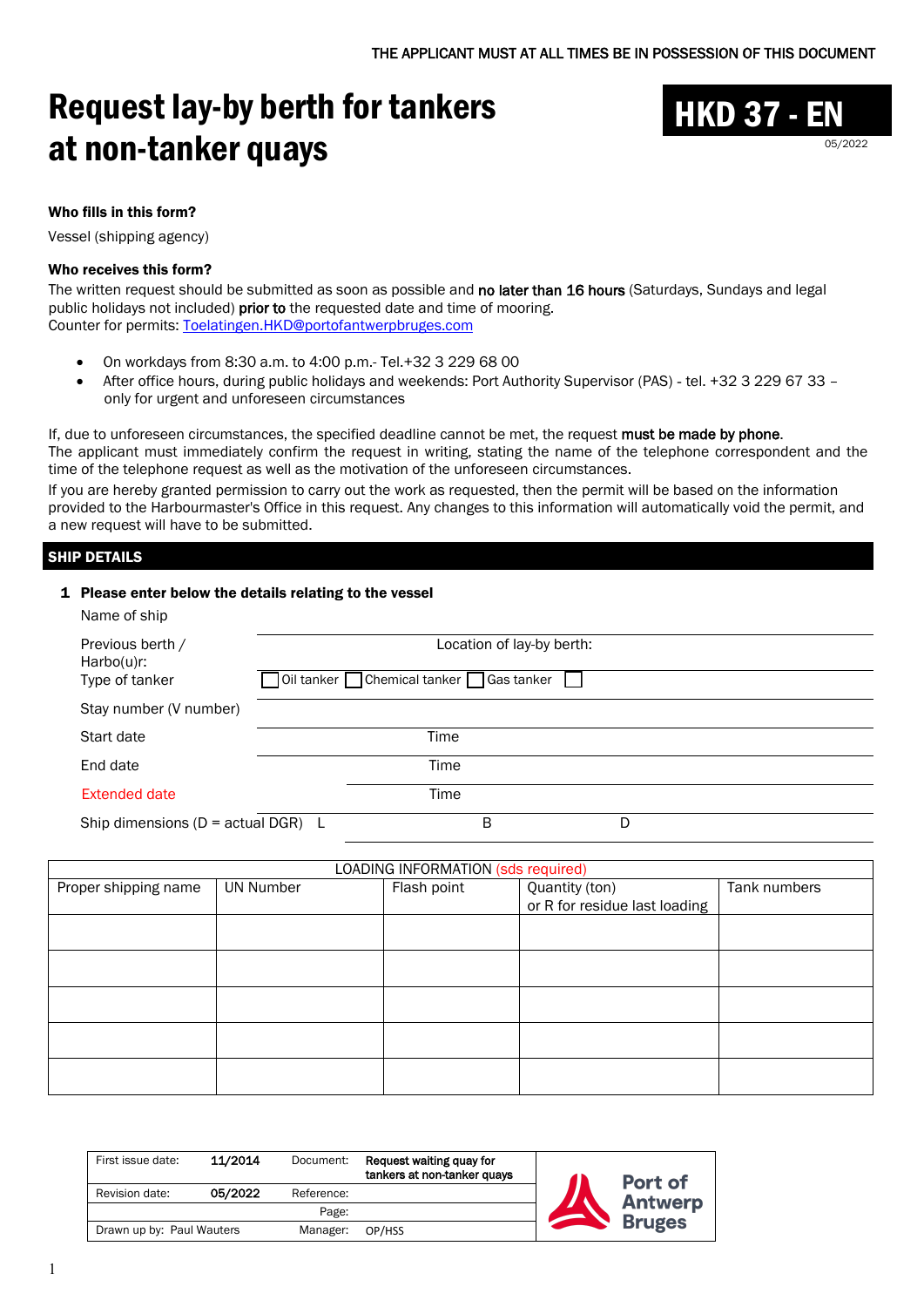# Request lay-by berth for tankers at non-tanker quays



Who fills in this form?

Vessel (shipping agency)

#### Who receives this form?

The written request should be submitted as soon as possible and no later than 16 hours (Saturdays, Sundays and legal public holidays not included) prior to the requested date and time of mooring. Counter for permits: [Toelatingen.HKD@portofantwerpbruges.com](mailto:Toelatingen.HKD@portofantwerpbruges.com)

- On workdays from 8:30 a.m. to 4:00 p.m.- Tel.+32 3 229 68 00
- After office hours, during public holidays and weekends: Port Authority Supervisor (PAS) tel. +32 3 229 67 33 only for urgent and unforeseen circumstances

If, due to unforeseen circumstances, the specified deadline cannot be met, the request must be made by phone. The applicant must immediately confirm the request in writing, stating the name of the telephone correspondent and the time of the telephone request as well as the motivation of the unforeseen circumstances. If you are hereby granted permission to carry out the work as requested, then the permit will be based on the information provided to the Harbourmaster's Office in this request. Any changes to this information will automatically void the permit, and a new request will have to be submitted.

## SHIP DETAILS

#### 1 Please enter below the details relating to the vessel

| Name of ship                           |                                           |
|----------------------------------------|-------------------------------------------|
| Previous berth /<br>$Harbo(u)$ r:      | Location of lay-by berth:                 |
| Type of tanker                         | oil tanker □ Chemical tanker □ Gas tanker |
| Stay number (V number)                 |                                           |
| Start date                             | Time                                      |
| End date                               | Time                                      |
| <b>Extended date</b>                   | Time                                      |
| Ship dimensions ( $D = actual DGR$ ) L | B<br>D                                    |

| LOADING INFORMATION (sds required) |                  |             |                               |              |  |  |
|------------------------------------|------------------|-------------|-------------------------------|--------------|--|--|
| Proper shipping name               | <b>UN Number</b> | Flash point | Quantity (ton)                | Tank numbers |  |  |
|                                    |                  |             | or R for residue last loading |              |  |  |
|                                    |                  |             |                               |              |  |  |
|                                    |                  |             |                               |              |  |  |
|                                    |                  |             |                               |              |  |  |
|                                    |                  |             |                               |              |  |  |
|                                    |                  |             |                               |              |  |  |
|                                    |                  |             |                               |              |  |  |
|                                    |                  |             |                               |              |  |  |
|                                    |                  |             |                               |              |  |  |
|                                    |                  |             |                               |              |  |  |
|                                    |                  |             |                               |              |  |  |

| First issue date:                     | 11/2014 | Document:  | Request waiting quay for<br>tankers at non-tanker quays | Port of        |
|---------------------------------------|---------|------------|---------------------------------------------------------|----------------|
| Revision date:                        | 05/2022 | Reference: |                                                         | <b>Antwerp</b> |
|                                       |         | Page:      |                                                         | <b>Bruges</b>  |
| Drawn up by: Paul Wauters<br>Manager: |         | OP/HSS     |                                                         |                |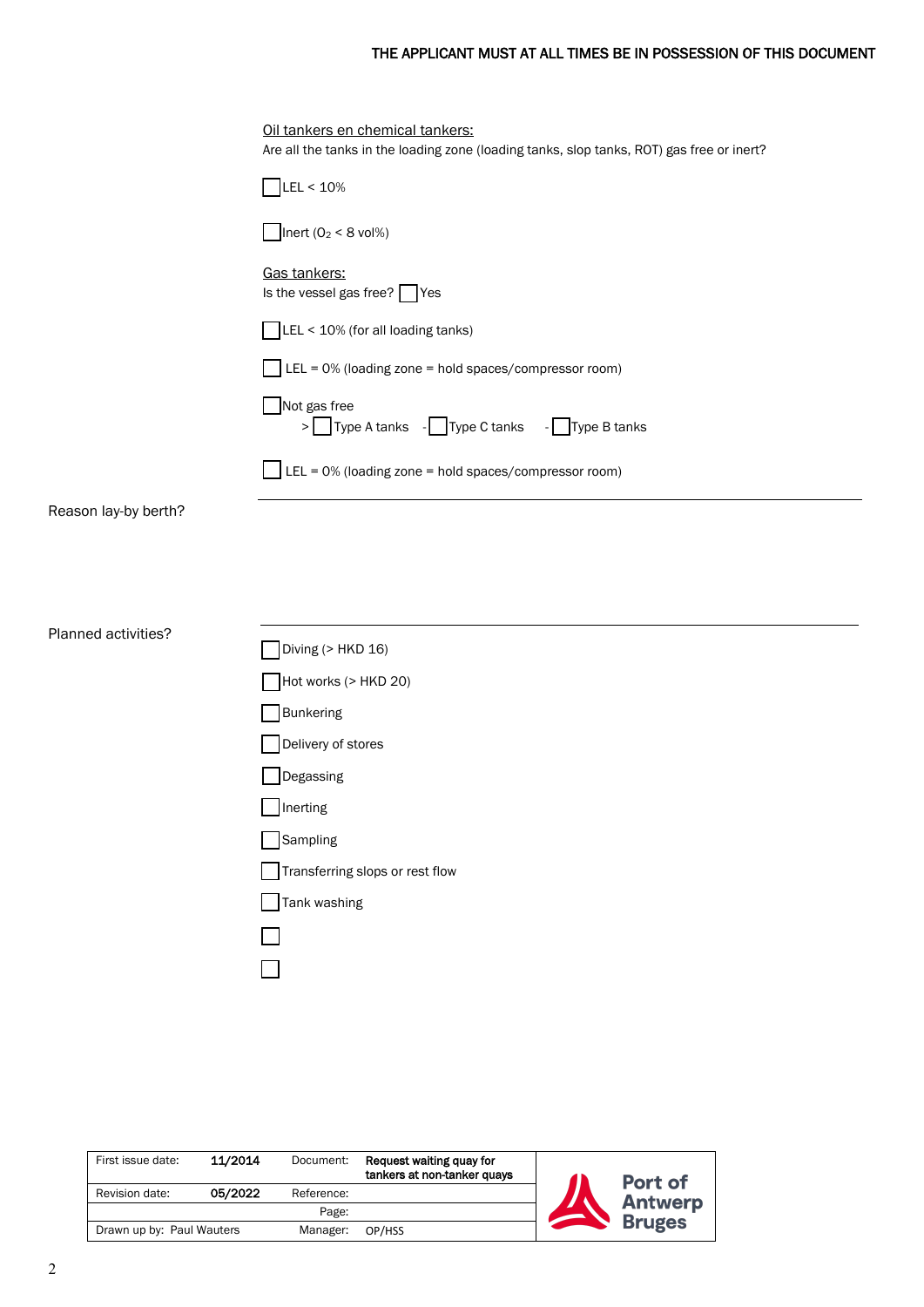## THE APPLICANT MUST AT ALL TIMES BE IN POSSESSION OF THIS DOCUMENT

÷,

 $\overline{\phantom{0}}$ 

|                      | Oil tankers en chemical tankers:<br>Are all the tanks in the loading zone (loading tanks, slop tanks, ROT) gas free or inert? |
|----------------------|-------------------------------------------------------------------------------------------------------------------------------|
|                      | LEL < 10%                                                                                                                     |
|                      | Inert $(02 < 8$ vol%)                                                                                                         |
|                      | Gas tankers:<br>Is the vessel gas free? Yes                                                                                   |
|                      | LEL < 10% (for all loading tanks)                                                                                             |
|                      | $\textsf{I}$ LEL = 0% (loading zone = hold spaces/compressor room)                                                            |
|                      | Not gas free<br>> Type A tanks - Type C tanks - Type B tanks                                                                  |
|                      | $\Box$ LEL = 0% (loading zone = hold spaces/compressor room)                                                                  |
| Reason lay-by berth? |                                                                                                                               |
|                      |                                                                                                                               |
|                      |                                                                                                                               |
| Planned activities?  |                                                                                                                               |
|                      | Diving (> HKD 16)                                                                                                             |
|                      | Hot works (> HKD 20)                                                                                                          |
|                      | <b>Bunkering</b>                                                                                                              |
|                      | Delivery of stores                                                                                                            |
|                      | Degassing                                                                                                                     |
|                      | $\Box$ Inerting                                                                                                               |
|                      | Sampling                                                                                                                      |
|                      | Transferring slops or rest flow                                                                                               |
|                      |                                                                                                                               |
|                      | Tank washing                                                                                                                  |
|                      |                                                                                                                               |
|                      |                                                                                                                               |

| First issue date:                     | 11/2014 | Document:  | Request waiting quay for<br>tankers at non-tanker quays | Port of        |
|---------------------------------------|---------|------------|---------------------------------------------------------|----------------|
| Revision date:                        | 05/2022 | Reference: |                                                         | <b>Antwerp</b> |
|                                       |         | Page:      |                                                         | <b>Bruges</b>  |
| Drawn up by: Paul Wauters<br>Manager: |         | OP/HSS     |                                                         |                |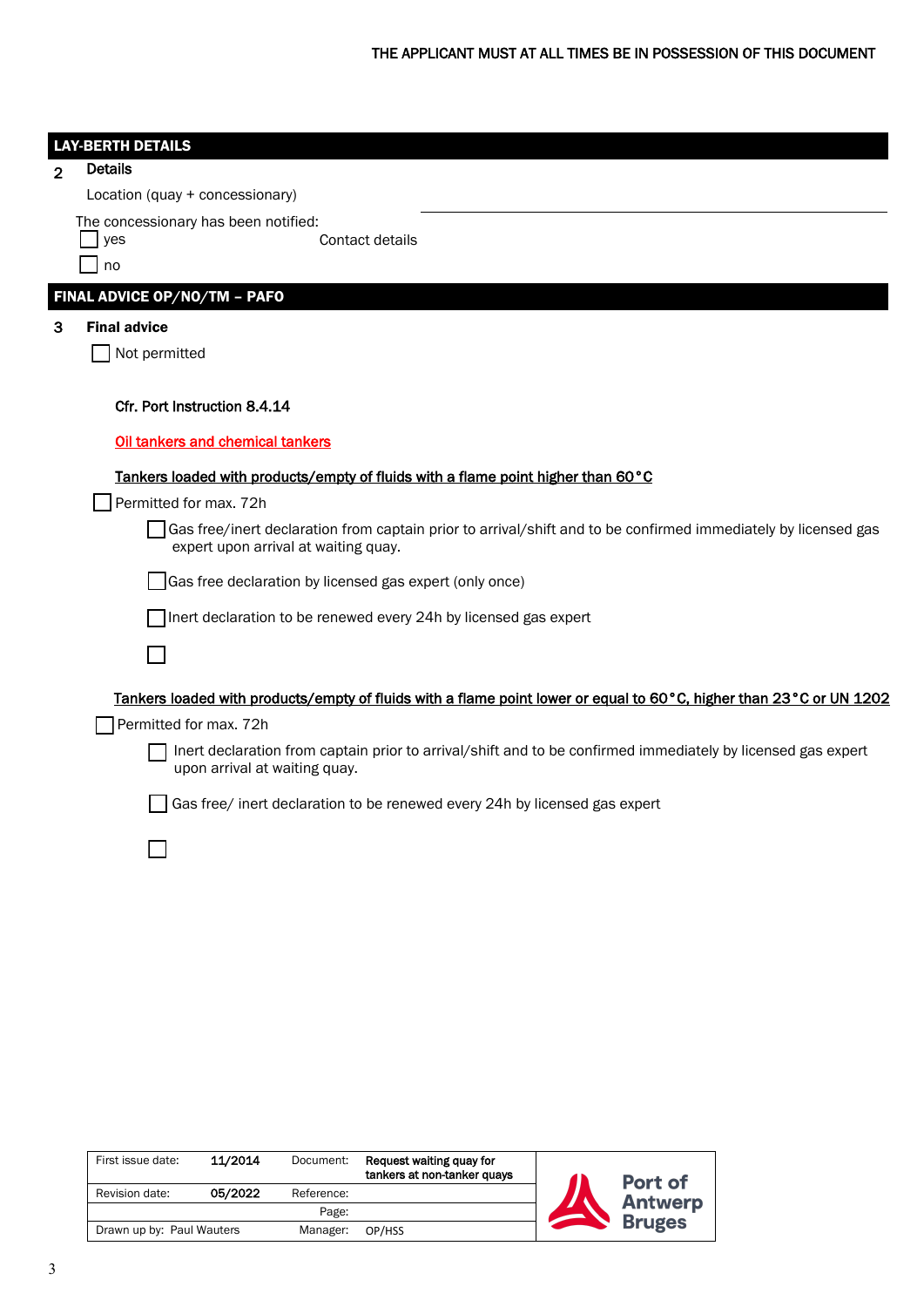|                | <b>LAY-BERTH DETAILS</b>                                                                                                                               |
|----------------|--------------------------------------------------------------------------------------------------------------------------------------------------------|
| $\overline{2}$ | <b>Details</b>                                                                                                                                         |
|                | Location (quay + concessionary)                                                                                                                        |
|                | The concessionary has been notified:<br>yes<br>Contact details                                                                                         |
|                | no                                                                                                                                                     |
|                | FINAL ADVICE OP/NO/TM - PAFO                                                                                                                           |
| 3              | <b>Final advice</b>                                                                                                                                    |
|                | Not permitted                                                                                                                                          |
|                |                                                                                                                                                        |
|                | Cfr. Port Instruction 8.4.14                                                                                                                           |
|                | Oil tankers and chemical tankers                                                                                                                       |
|                | Tankers loaded with products/empty of fluids with a flame point higher than 60°C                                                                       |
|                | Permitted for max. 72h                                                                                                                                 |
|                | Gas free/inert declaration from captain prior to arrival/shift and to be confirmed immediately by licensed gas<br>expert upon arrival at waiting quay. |
|                | Gas free declaration by licensed gas expert (only once)                                                                                                |
|                | Inert declaration to be renewed every 24h by licensed gas expert                                                                                       |
|                |                                                                                                                                                        |
|                | Tankers loaded with products/empty of fluids with a flame point lower or equal to 60°C, higher than 23°C or UN 1202                                    |
|                | Permitted for max. 72h                                                                                                                                 |
|                | Inert declaration from captain prior to arrival/shift and to be confirmed immediately by licensed gas expert<br>upon arrival at waiting quay.          |
|                | Gas free/ inert declaration to be renewed every 24h by licensed gas expert                                                                             |
|                |                                                                                                                                                        |
|                |                                                                                                                                                        |
|                |                                                                                                                                                        |

| First issue date:                     | 11/2014 | Document:  | Request waiting quay for<br>tankers at non-tanker quays | Port of        |
|---------------------------------------|---------|------------|---------------------------------------------------------|----------------|
| Revision date:                        | 05/2022 | Reference: |                                                         | <b>Antwerp</b> |
|                                       |         | Page:      |                                                         | <b>Bruges</b>  |
| Drawn up by: Paul Wauters<br>Manager: |         | OP/HSS     |                                                         |                |